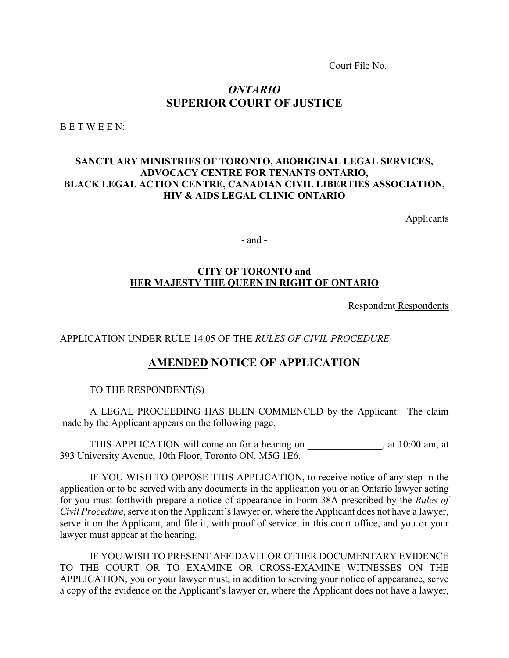Court File No.

### *ONTARIO* **SUPERIOR COURT OF JUSTICE**

B E T W E E N:

### **SANCTUARY MINISTRIES OF TORONTO, ABORIGINAL LEGAL SERVICES, ADVOCACY CENTRE FOR TENANTS ONTARIO, BLACK LEGAL ACTION CENTRE, CANADIAN CIVIL LIBERTIES ASSOCIATION, HIV & AIDS LEGAL CLINIC ONTARIO**

Applicants

- and -

### **CITY OF TORONTO and HER MAJESTY THE QUEEN IN RIGHT OF ONTARIO**

Respondent Respondents

APPLICATION UNDER RULE 14.05 OF THE *RULES OF CIVIL PROCEDURE* 

### **AMENDED NOTICE OF APPLICATION**

TO THE RESPONDENT(S)

A LEGAL PROCEEDING HAS BEEN COMMENCED by the Applicant. The claim made by the Applicant appears on the following page.

THIS APPLICATION will come on for a hearing on \_\_\_\_\_\_\_\_\_\_\_\_\_\_\_, at 10:00 am, at 393 University Avenue, 10th Floor, Toronto ON, M5G 1E6.

IF YOU WISH TO OPPOSE THIS APPLICATION, to receive notice of any step in the application or to be served with any documents in the application you or an Ontario lawyer acting for you must forthwith prepare a notice of appearance in Form 38A prescribed by the *Rules of Civil Procedure*, serve it on the Applicant's lawyer or, where the Applicant does not have a lawyer, serve it on the Applicant, and file it, with proof of service, in this court office, and you or your lawyer must appear at the hearing.

IF YOU WISH TO PRESENT AFFIDAVIT OR OTHER DOCUMENTARY EVIDENCE TO THE COURT OR TO EXAMINE OR CROSS-EXAMINE WITNESSES ON THE APPLICATION, you or your lawyer must, in addition to serving your notice of appearance, serve a copy of the evidence on the Applicant's lawyer or, where the Applicant does not have a lawyer,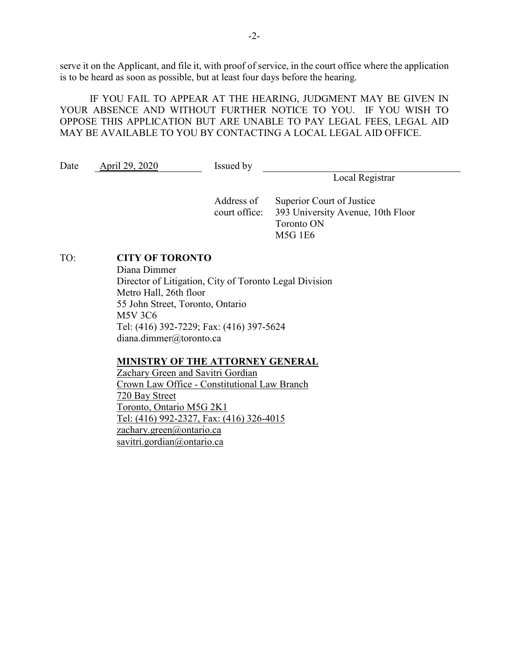serve it on the Applicant, and file it, with proof of service, in the court office where the application is to be heard as soon as possible, but at least four days before the hearing.

IF YOU FAIL TO APPEAR AT THE HEARING, JUDGMENT MAY BE GIVEN IN YOUR ABSENCE AND WITHOUT FURTHER NOTICE TO YOU. IF YOU WISH TO OPPOSE THIS APPLICATION BUT ARE UNABLE TO PAY LEGAL FEES, LEGAL AID MAY BE AVAILABLE TO YOU BY CONTACTING A LOCAL LEGAL AID OFFICE.

Date April 29, 2020 Issued by

Local Registrar

Address of court office: Superior Court of Justice 393 University Avenue, 10th Floor Toronto ON M5G 1E6

### TO: **CITY OF TORONTO**

Diana Dimmer Director of Litigation, City of Toronto Legal Division Metro Hall, 26th floor 55 John Street, Toronto, Ontario M5V 3C6 Tel: (416) 392-7229; Fax: (416) 397-5624 diana.dimmer@toronto.ca

### **MINISTRY OF THE ATTORNEY GENERAL**

Zachary Green and Savitri Gordian Crown Law Office - Constitutional Law Branch 720 Bay Street Toronto, Ontario M5G 2K1 Tel: (416) 992-2327, Fax: (416) 326-4015 zachary.green@ontario.ca savitri.gordian@ontario.ca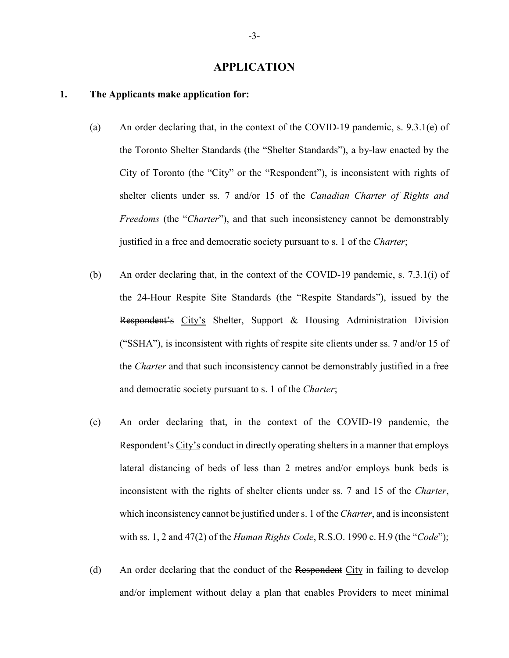### **APPLICATION**

### **1. The Applicants make application for:**

- (a) An order declaring that, in the context of the COVID-19 pandemic, s. 9.3.1(e) of the Toronto Shelter Standards (the "Shelter Standards"), a by-law enacted by the City of Toronto (the "City" or the "Respondent"), is inconsistent with rights of shelter clients under ss. 7 and/or 15 of the *Canadian Charter of Rights and Freedoms* (the "*Charter*"), and that such inconsistency cannot be demonstrably justified in a free and democratic society pursuant to s. 1 of the *Charter*;
- (b) An order declaring that, in the context of the COVID-19 pandemic, s. 7.3.1(i) of the 24-Hour Respite Site Standards (the "Respite Standards"), issued by the Respondent's City's Shelter, Support & Housing Administration Division ("SSHA"), is inconsistent with rights of respite site clients under ss. 7 and/or 15 of the *Charter* and that such inconsistency cannot be demonstrably justified in a free and democratic society pursuant to s. 1 of the *Charter*;
- (c) An order declaring that, in the context of the COVID-19 pandemic, the Respondent's City's conduct in directly operating shelters in a manner that employs lateral distancing of beds of less than 2 metres and/or employs bunk beds is inconsistent with the rights of shelter clients under ss. 7 and 15 of the *Charter*, which inconsistency cannot be justified under s. 1 of the *Charter*, and is inconsistent with ss. 1, 2 and 47(2) of the *Human Rights Code*, R.S.O. 1990 c. H.9 (the "*Code*");
- (d) An order declaring that the conduct of the Respondent City in failing to develop and/or implement without delay a plan that enables Providers to meet minimal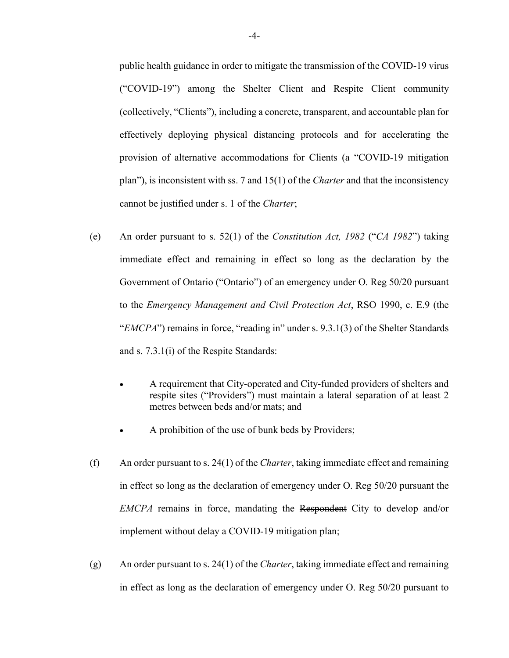public health guidance in order to mitigate the transmission of the COVID-19 virus ("COVID-19") among the Shelter Client and Respite Client community (collectively, "Clients"), including a concrete, transparent, and accountable plan for effectively deploying physical distancing protocols and for accelerating the provision of alternative accommodations for Clients (a "COVID-19 mitigation plan"), is inconsistent with ss. 7 and 15(1) of the *Charter* and that the inconsistency cannot be justified under s. 1 of the *Charter*;

- (e) An order pursuant to s. 52(1) of the *Constitution Act, 1982* ("*CA 1982*") taking immediate effect and remaining in effect so long as the declaration by the Government of Ontario ("Ontario") of an emergency under O. Reg 50/20 pursuant to the *Emergency Management and Civil Protection Act*, RSO 1990, c. E.9 (the "*EMCPA*") remains in force, "reading in" under s. 9.3.1(3) of the Shelter Standards and s. 7.3.1(i) of the Respite Standards:
	- A requirement that City-operated and City-funded providers of shelters and respite sites ("Providers") must maintain a lateral separation of at least 2 metres between beds and/or mats; and
	- A prohibition of the use of bunk beds by Providers;
- (f) An order pursuant to s. 24(1) of the *Charter*, taking immediate effect and remaining in effect so long as the declaration of emergency under O. Reg 50/20 pursuant the *EMCPA* remains in force, mandating the Respondent City to develop and/or implement without delay a COVID-19 mitigation plan;
- (g) An order pursuant to s. 24(1) of the *Charter*, taking immediate effect and remaining in effect as long as the declaration of emergency under O. Reg 50/20 pursuant to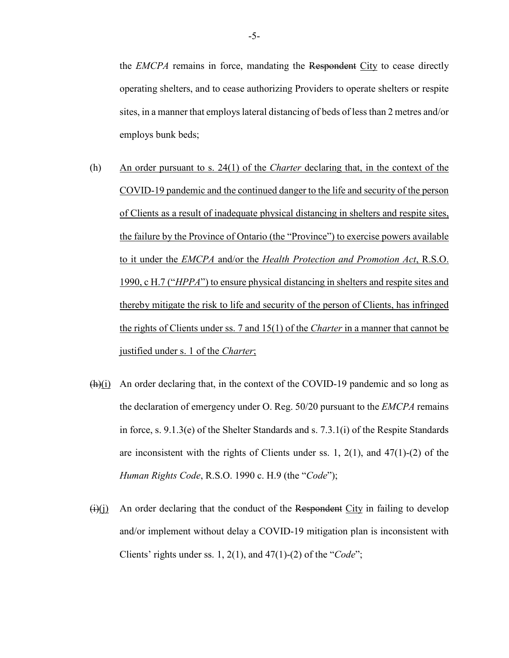the *EMCPA* remains in force, mandating the Respondent City to cease directly operating shelters, and to cease authorizing Providers to operate shelters or respite sites, in a manner that employs lateral distancing of beds of less than 2 metres and/or employs bunk beds;

- (h) An order pursuant to s. 24(1) of the *Charter* declaring that, in the context of the COVID-19 pandemic and the continued danger to the life and security of the person of Clients as a result of inadequate physical distancing in shelters and respite sites, the failure by the Province of Ontario (the "Province") to exercise powers available to it under the *EMCPA* and/or the *Health Protection and Promotion Act*, R.S.O. 1990, c H.7 ("*HPPA*") to ensure physical distancing in shelters and respite sites and thereby mitigate the risk to life and security of the person of Clients, has infringed the rights of Clients under ss. 7 and 15(1) of the *Charter* in a manner that cannot be justified under s. 1 of the *Charter*;
- $(h)(i)$  An order declaring that, in the context of the COVID-19 pandemic and so long as the declaration of emergency under O. Reg. 50/20 pursuant to the *EMCPA* remains in force, s. 9.1.3(e) of the Shelter Standards and s. 7.3.1(i) of the Respite Standards are inconsistent with the rights of Clients under ss. 1,  $2(1)$ , and  $47(1)-(2)$  of the *Human Rights Code*, R.S.O. 1990 c. H.9 (the "*Code*");
- $(i)$  An order declaring that the conduct of the Respondent City in failing to develop and/or implement without delay a COVID-19 mitigation plan is inconsistent with Clients' rights under ss. 1, 2(1), and 47(1)-(2) of the "*Code*";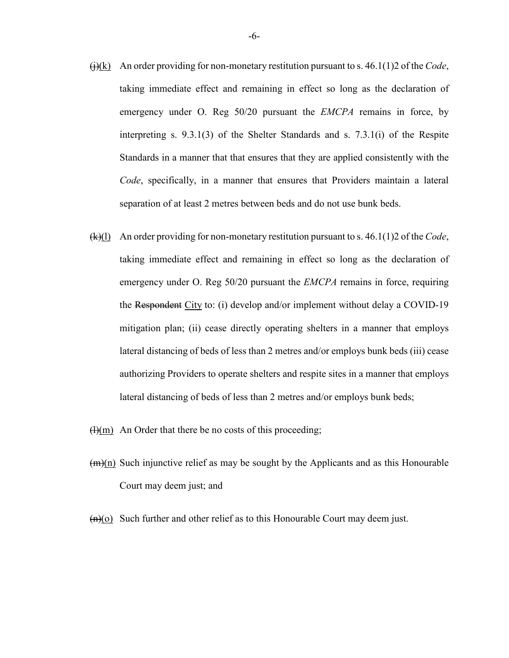- $\overline{(i)(k)}$  An order providing for non-monetary restitution pursuant to s. 46.1(1)2 of the *Code*, taking immediate effect and remaining in effect so long as the declaration of emergency under O. Reg 50/20 pursuant the *EMCPA* remains in force, by interpreting s. 9.3.1(3) of the Shelter Standards and s. 7.3.1(i) of the Respite Standards in a manner that that ensures that they are applied consistently with the *Code*, specifically, in a manner that ensures that Providers maintain a lateral separation of at least 2 metres between beds and do not use bunk beds.
- (k)(l) An order providing for non-monetary restitution pursuant to s. 46.1(1)2 of the *Code*, taking immediate effect and remaining in effect so long as the declaration of emergency under O. Reg 50/20 pursuant the *EMCPA* remains in force, requiring the Respondent City to: (i) develop and/or implement without delay a COVID-19 mitigation plan; (ii) cease directly operating shelters in a manner that employs lateral distancing of beds of less than 2 metres and/or employs bunk beds (iii) cease authorizing Providers to operate shelters and respite sites in a manner that employs lateral distancing of beds of less than 2 metres and/or employs bunk beds;
- $(H)(m)$  An Order that there be no costs of this proceeding;
- $(m)(n)$  Such injunctive relief as may be sought by the Applicants and as this Honourable Court may deem just; and
- $(n)(o)$  Such further and other relief as to this Honourable Court may deem just.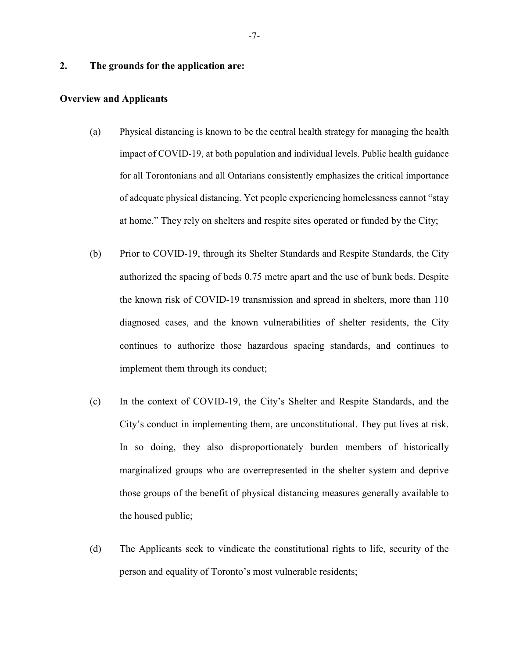### **2. The grounds for the application are:**

### **Overview and Applicants**

- (a) Physical distancing is known to be the central health strategy for managing the health impact of COVID-19, at both population and individual levels. Public health guidance for all Torontonians and all Ontarians consistently emphasizes the critical importance of adequate physical distancing. Yet people experiencing homelessness cannot "stay at home." They rely on shelters and respite sites operated or funded by the City;
- (b) Prior to COVID-19, through its Shelter Standards and Respite Standards, the City authorized the spacing of beds 0.75 metre apart and the use of bunk beds. Despite the known risk of COVID-19 transmission and spread in shelters, more than 110 diagnosed cases, and the known vulnerabilities of shelter residents, the City continues to authorize those hazardous spacing standards, and continues to implement them through its conduct;
- (c) In the context of COVID-19, the City's Shelter and Respite Standards, and the City's conduct in implementing them, are unconstitutional. They put lives at risk. In so doing, they also disproportionately burden members of historically marginalized groups who are overrepresented in the shelter system and deprive those groups of the benefit of physical distancing measures generally available to the housed public;
- (d) The Applicants seek to vindicate the constitutional rights to life, security of the person and equality of Toronto's most vulnerable residents;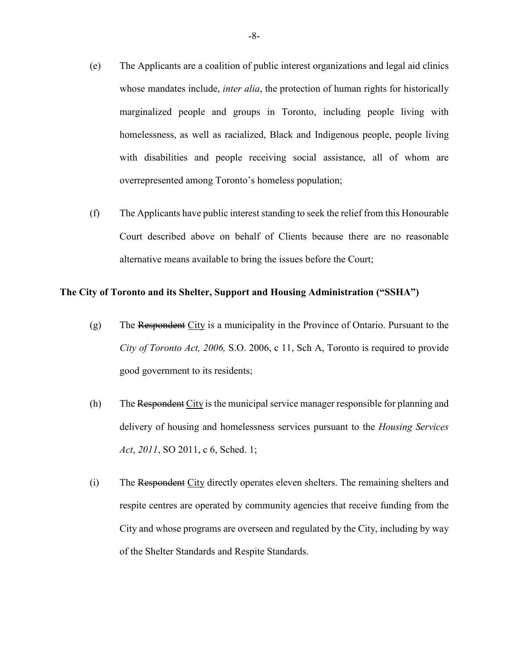- (e) The Applicants are a coalition of public interest organizations and legal aid clinics whose mandates include, *inter alia*, the protection of human rights for historically marginalized people and groups in Toronto, including people living with homelessness, as well as racialized, Black and Indigenous people, people living with disabilities and people receiving social assistance, all of whom are overrepresented among Toronto's homeless population;
- (f) The Applicants have public interest standing to seek the relief from this Honourable Court described above on behalf of Clients because there are no reasonable alternative means available to bring the issues before the Court;

### **The City of Toronto and its Shelter, Support and Housing Administration ("SSHA")**

- (g) The Respondent City is a municipality in the Province of Ontario. Pursuant to the *City of Toronto Act, 2006,* S.O. 2006, c 11, Sch A, Toronto is required to provide good government to its residents;
- (h) The Respondent City is the municipal service manager responsible for planning and delivery of housing and homelessness services pursuant to the *Housing Services Act*, *2011*, SO 2011, c 6, Sched. 1;
- (i) The Respondent City directly operates eleven shelters. The remaining shelters and respite centres are operated by community agencies that receive funding from the City and whose programs are overseen and regulated by the City, including by way of the Shelter Standards and Respite Standards.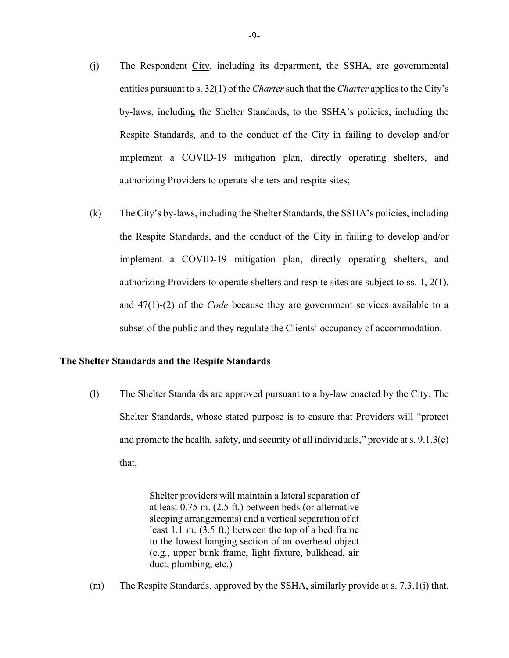- (j) The Respondent City, including its department, the SSHA, are governmental entities pursuant to s. 32(1) of the *Charter* such that the *Charter* applies to the City's by-laws, including the Shelter Standards, to the SSHA's policies, including the Respite Standards, and to the conduct of the City in failing to develop and/or implement a COVID-19 mitigation plan, directly operating shelters, and authorizing Providers to operate shelters and respite sites;
- (k) The City's by-laws, including the Shelter Standards, the SSHA's policies, including the Respite Standards, and the conduct of the City in failing to develop and/or implement a COVID-19 mitigation plan, directly operating shelters, and authorizing Providers to operate shelters and respite sites are subject to ss. 1, 2(1), and 47(1)-(2) of the *Code* because they are government services available to a subset of the public and they regulate the Clients' occupancy of accommodation.

### **The Shelter Standards and the Respite Standards**

(l) The Shelter Standards are approved pursuant to a by-law enacted by the City. The Shelter Standards, whose stated purpose is to ensure that Providers will "protect and promote the health, safety, and security of all individuals," provide at s. 9.1.3(e) that,

> Shelter providers will maintain a lateral separation of at least 0.75 m. (2.5 ft.) between beds (or alternative sleeping arrangements) and a vertical separation of at least 1.1 m. (3.5 ft.) between the top of a bed frame to the lowest hanging section of an overhead object (e.g., upper bunk frame, light fixture, bulkhead, air duct, plumbing, etc.)

(m) The Respite Standards, approved by the SSHA, similarly provide at s. 7.3.1(i) that,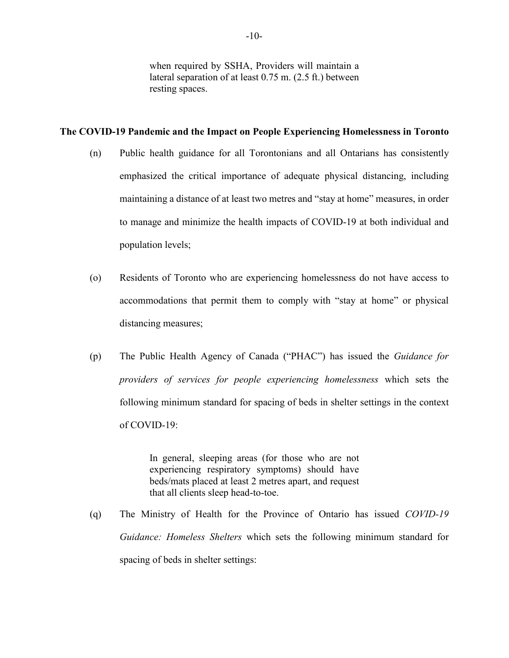when required by SSHA, Providers will maintain a lateral separation of at least 0.75 m. (2.5 ft.) between resting spaces.

### **The COVID-19 Pandemic and the Impact on People Experiencing Homelessness in Toronto**

- (n) Public health guidance for all Torontonians and all Ontarians has consistently emphasized the critical importance of adequate physical distancing, including maintaining a distance of at least two metres and "stay at home" measures, in order to manage and minimize the health impacts of COVID-19 at both individual and population levels;
- (o) Residents of Toronto who are experiencing homelessness do not have access to accommodations that permit them to comply with "stay at home" or physical distancing measures;
- (p) The Public Health Agency of Canada ("PHAC") has issued the *Guidance for providers of services for people experiencing homelessness* which sets the following minimum standard for spacing of beds in shelter settings in the context of COVID-19:

In general, sleeping areas (for those who are not experiencing respiratory symptoms) should have beds/mats placed at least 2 metres apart, and request that all clients sleep head-to-toe.

(q) The Ministry of Health for the Province of Ontario has issued *COVID-19 Guidance: Homeless Shelters* which sets the following minimum standard for spacing of beds in shelter settings: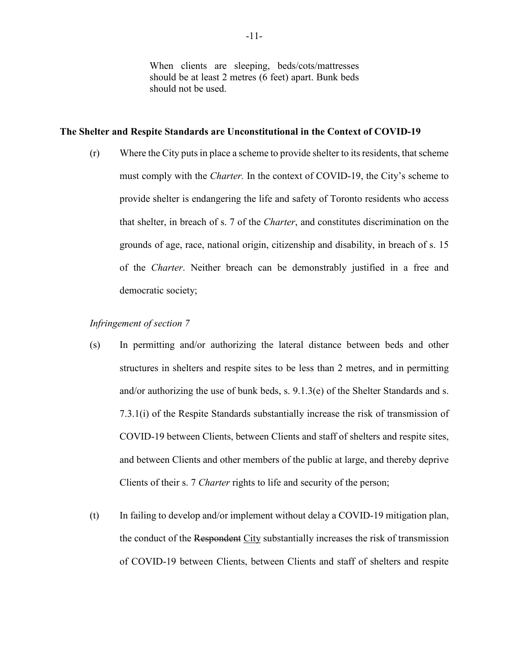When clients are sleeping, beds/cots/mattresses should be at least 2 metres (6 feet) apart. Bunk beds should not be used.

### **The Shelter and Respite Standards are Unconstitutional in the Context of COVID-19**

(r) Where the City puts in place a scheme to provide shelter to its residents, that scheme must comply with the *Charter.* In the context of COVID-19, the City's scheme to provide shelter is endangering the life and safety of Toronto residents who access that shelter, in breach of s. 7 of the *Charter*, and constitutes discrimination on the grounds of age, race, national origin, citizenship and disability, in breach of s. 15 of the *Charter*. Neither breach can be demonstrably justified in a free and democratic society;

### *Infringement of section 7*

- (s) In permitting and/or authorizing the lateral distance between beds and other structures in shelters and respite sites to be less than 2 metres, and in permitting and/or authorizing the use of bunk beds, s. 9.1.3(e) of the Shelter Standards and s. 7.3.1(i) of the Respite Standards substantially increase the risk of transmission of COVID-19 between Clients, between Clients and staff of shelters and respite sites, and between Clients and other members of the public at large, and thereby deprive Clients of their s. 7 *Charter* rights to life and security of the person;
- (t) In failing to develop and/or implement without delay a COVID-19 mitigation plan, the conduct of the Respondent City substantially increases the risk of transmission of COVID-19 between Clients, between Clients and staff of shelters and respite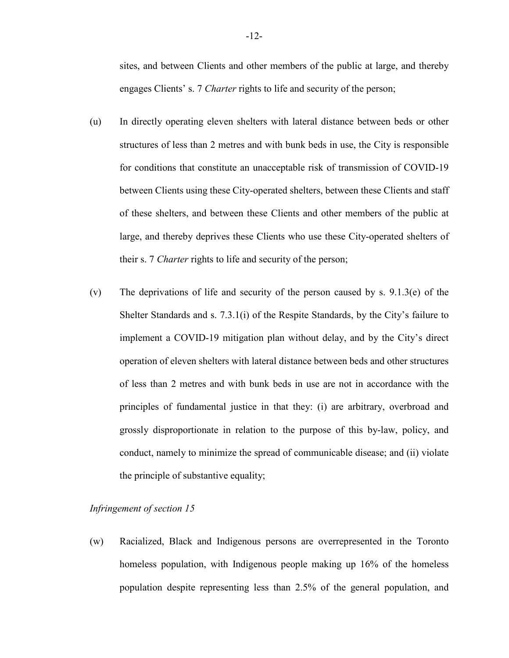sites, and between Clients and other members of the public at large, and thereby engages Clients' s. 7 *Charter* rights to life and security of the person;

- (u) In directly operating eleven shelters with lateral distance between beds or other structures of less than 2 metres and with bunk beds in use, the City is responsible for conditions that constitute an unacceptable risk of transmission of COVID-19 between Clients using these City-operated shelters, between these Clients and staff of these shelters, and between these Clients and other members of the public at large, and thereby deprives these Clients who use these City-operated shelters of their s. 7 *Charter* rights to life and security of the person;
- (v) The deprivations of life and security of the person caused by s. 9.1.3(e) of the Shelter Standards and s. 7.3.1(i) of the Respite Standards, by the City's failure to implement a COVID-19 mitigation plan without delay, and by the City's direct operation of eleven shelters with lateral distance between beds and other structures of less than 2 metres and with bunk beds in use are not in accordance with the principles of fundamental justice in that they: (i) are arbitrary, overbroad and grossly disproportionate in relation to the purpose of this by-law, policy, and conduct, namely to minimize the spread of communicable disease; and (ii) violate the principle of substantive equality;

### *Infringement of section 15*

(w) Racialized, Black and Indigenous persons are overrepresented in the Toronto homeless population, with Indigenous people making up 16% of the homeless population despite representing less than 2.5% of the general population, and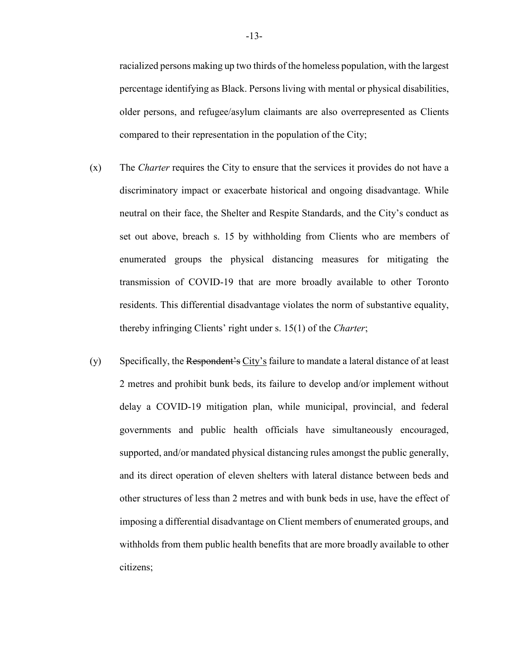racialized persons making up two thirds of the homeless population, with the largest percentage identifying as Black. Persons living with mental or physical disabilities, older persons, and refugee/asylum claimants are also overrepresented as Clients compared to their representation in the population of the City;

- (x) The *Charter* requires the City to ensure that the services it provides do not have a discriminatory impact or exacerbate historical and ongoing disadvantage. While neutral on their face, the Shelter and Respite Standards, and the City's conduct as set out above, breach s. 15 by withholding from Clients who are members of enumerated groups the physical distancing measures for mitigating the transmission of COVID-19 that are more broadly available to other Toronto residents. This differential disadvantage violates the norm of substantive equality, thereby infringing Clients' right under s. 15(1) of the *Charter*;
- (y) Specifically, the Respondent's City's failure to mandate a lateral distance of at least 2 metres and prohibit bunk beds, its failure to develop and/or implement without delay a COVID-19 mitigation plan, while municipal, provincial, and federal governments and public health officials have simultaneously encouraged, supported, and/or mandated physical distancing rules amongst the public generally, and its direct operation of eleven shelters with lateral distance between beds and other structures of less than 2 metres and with bunk beds in use, have the effect of imposing a differential disadvantage on Client members of enumerated groups, and withholds from them public health benefits that are more broadly available to other citizens;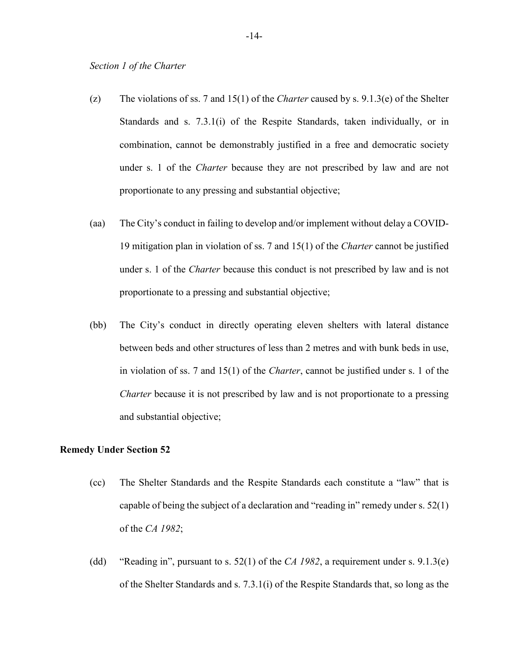- (z) The violations of ss. 7 and 15(1) of the *Charter* caused by s. 9.1.3(e) of the Shelter Standards and s. 7.3.1(i) of the Respite Standards, taken individually, or in combination, cannot be demonstrably justified in a free and democratic society under s. 1 of the *Charter* because they are not prescribed by law and are not proportionate to any pressing and substantial objective;
- (aa) The City's conduct in failing to develop and/or implement without delay a COVID-19 mitigation plan in violation of ss. 7 and 15(1) of the *Charter* cannot be justified under s. 1 of the *Charter* because this conduct is not prescribed by law and is not proportionate to a pressing and substantial objective;
- (bb) The City's conduct in directly operating eleven shelters with lateral distance between beds and other structures of less than 2 metres and with bunk beds in use, in violation of ss. 7 and 15(1) of the *Charter*, cannot be justified under s. 1 of the *Charter* because it is not prescribed by law and is not proportionate to a pressing and substantial objective;

### **Remedy Under Section 52**

- (cc) The Shelter Standards and the Respite Standards each constitute a "law" that is capable of being the subject of a declaration and "reading in" remedy under s. 52(1) of the *CA 1982*;
- (dd) "Reading in", pursuant to s. 52(1) of the *CA 1982*, a requirement under s. 9.1.3(e) of the Shelter Standards and s. 7.3.1(i) of the Respite Standards that, so long as the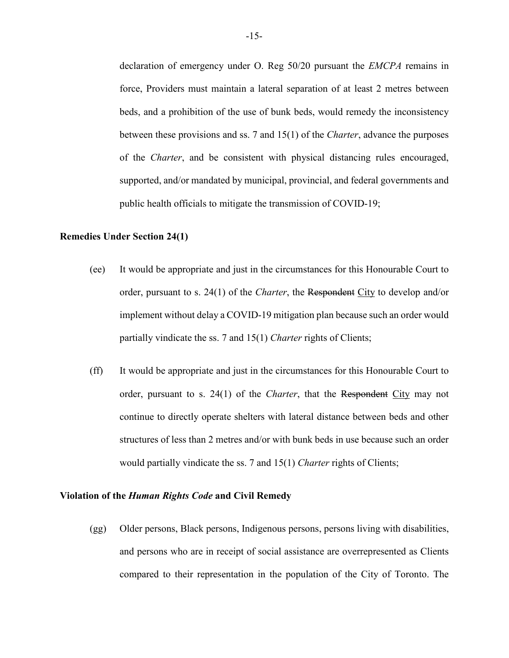declaration of emergency under O. Reg 50/20 pursuant the *EMCPA* remains in force, Providers must maintain a lateral separation of at least 2 metres between beds, and a prohibition of the use of bunk beds, would remedy the inconsistency between these provisions and ss. 7 and 15(1) of the *Charter*, advance the purposes of the *Charter*, and be consistent with physical distancing rules encouraged, supported, and/or mandated by municipal, provincial, and federal governments and public health officials to mitigate the transmission of COVID-19;

### **Remedies Under Section 24(1)**

- (ee) It would be appropriate and just in the circumstances for this Honourable Court to order, pursuant to s. 24(1) of the *Charter*, the Respondent City to develop and/or implement without delay a COVID-19 mitigation plan because such an order would partially vindicate the ss. 7 and 15(1) *Charter* rights of Clients;
- (ff) It would be appropriate and just in the circumstances for this Honourable Court to order, pursuant to s. 24(1) of the *Charter*, that the Respondent City may not continue to directly operate shelters with lateral distance between beds and other structures of less than 2 metres and/or with bunk beds in use because such an order would partially vindicate the ss. 7 and 15(1) *Charter* rights of Clients;

### **Violation of the** *Human Rights Code* **and Civil Remedy**

(gg) Older persons, Black persons, Indigenous persons, persons living with disabilities, and persons who are in receipt of social assistance are overrepresented as Clients compared to their representation in the population of the City of Toronto. The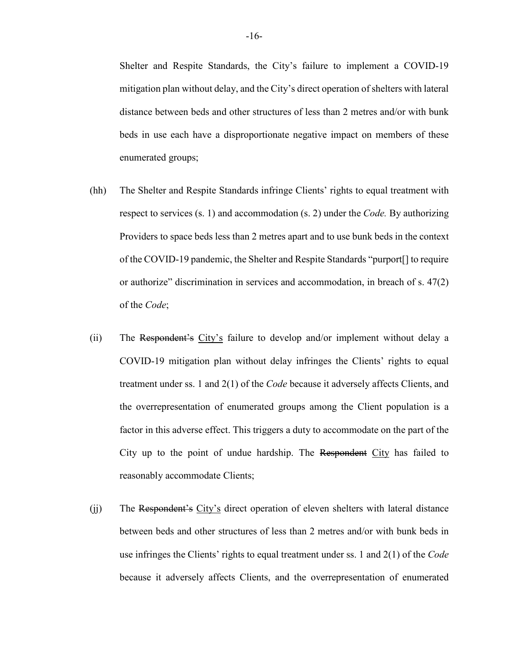Shelter and Respite Standards, the City's failure to implement a COVID-19 mitigation plan without delay, and the City's direct operation of shelters with lateral distance between beds and other structures of less than 2 metres and/or with bunk beds in use each have a disproportionate negative impact on members of these enumerated groups;

- (hh) The Shelter and Respite Standards infringe Clients' rights to equal treatment with respect to services (s. 1) and accommodation (s. 2) under the *Code.* By authorizing Providers to space beds less than 2 metres apart and to use bunk beds in the context of the COVID-19 pandemic, the Shelter and Respite Standards "purport[] to require or authorize" discrimination in services and accommodation, in breach of s. 47(2) of the *Code*;
- (ii) The Respondent's City's failure to develop and/or implement without delay a COVID-19 mitigation plan without delay infringes the Clients' rights to equal treatment under ss. 1 and 2(1) of the *Code* because it adversely affects Clients, and the overrepresentation of enumerated groups among the Client population is a factor in this adverse effect. This triggers a duty to accommodate on the part of the City up to the point of undue hardship. The Respondent City has failed to reasonably accommodate Clients;
- (ii) The Respondent's City's direct operation of eleven shelters with lateral distance between beds and other structures of less than 2 metres and/or with bunk beds in use infringes the Clients' rights to equal treatment under ss. 1 and 2(1) of the *Code* because it adversely affects Clients, and the overrepresentation of enumerated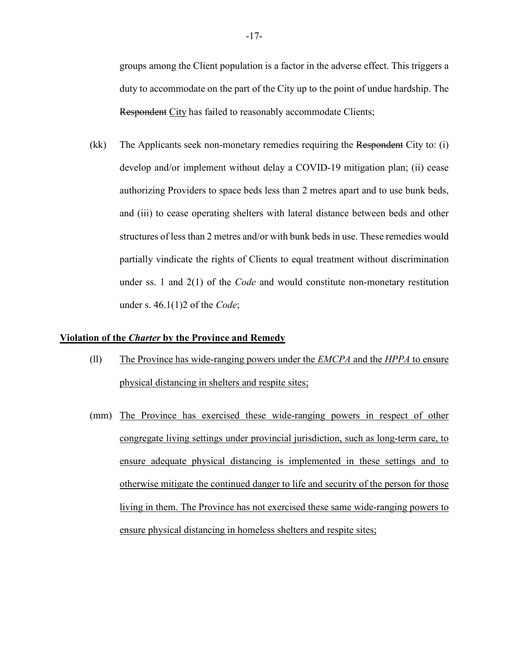groups among the Client population is a factor in the adverse effect. This triggers a duty to accommodate on the part of the City up to the point of undue hardship. The Respondent City has failed to reasonably accommodate Clients;

(kk) The Applicants seek non-monetary remedies requiring the Respondent City to: (i) develop and/or implement without delay a COVID-19 mitigation plan; (ii) cease authorizing Providers to space beds less than 2 metres apart and to use bunk beds, and (iii) to cease operating shelters with lateral distance between beds and other structures of less than 2 metres and/or with bunk beds in use. These remedies would partially vindicate the rights of Clients to equal treatment without discrimination under ss. 1 and 2(1) of the *Code* and would constitute non-monetary restitution under s. 46.1(1)2 of the *Code*;

### **Violation of the** *Charter* **by the Province and Remedy**

- (ll) The Province has wide-ranging powers under the *EMCPA* and the *HPPA* to ensure physical distancing in shelters and respite sites;
- (mm) The Province has exercised these wide-ranging powers in respect of other congregate living settings under provincial jurisdiction, such as long-term care, to ensure adequate physical distancing is implemented in these settings and to otherwise mitigate the continued danger to life and security of the person for those living in them. The Province has not exercised these same wide-ranging powers to ensure physical distancing in homeless shelters and respite sites;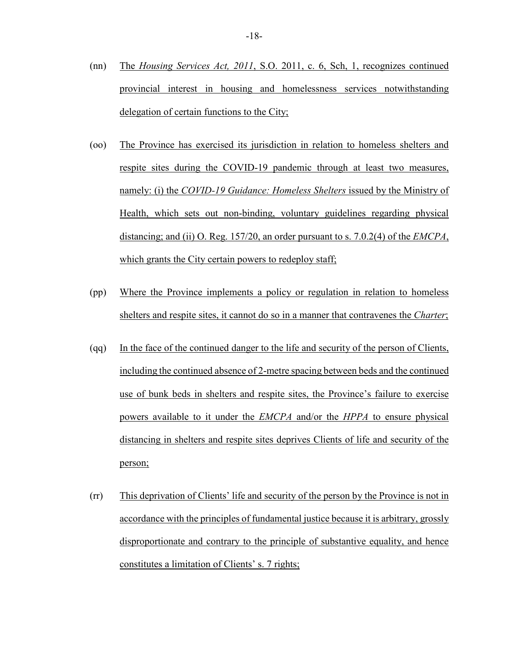- (nn) The *Housing Services Act, 2011*, S.O. 2011, c. 6, Sch, 1, recognizes continued provincial interest in housing and homelessness services notwithstanding delegation of certain functions to the City;
- (oo) The Province has exercised its jurisdiction in relation to homeless shelters and respite sites during the COVID-19 pandemic through at least two measures, namely: (i) the *COVID-19 Guidance: Homeless Shelters* issued by the Ministry of Health, which sets out non-binding, voluntary guidelines regarding physical distancing; and (ii) O. Reg. 157/20, an order pursuant to s. 7.0.2(4) of the *EMCPA*, which grants the City certain powers to redeploy staff;
- (pp) Where the Province implements a policy or regulation in relation to homeless shelters and respite sites, it cannot do so in a manner that contravenes the *Charter*;
- (qq) In the face of the continued danger to the life and security of the person of Clients, including the continued absence of 2-metre spacing between beds and the continued use of bunk beds in shelters and respite sites, the Province's failure to exercise powers available to it under the *EMCPA* and/or the *HPPA* to ensure physical distancing in shelters and respite sites deprives Clients of life and security of the person;
- (rr) This deprivation of Clients' life and security of the person by the Province is not in accordance with the principles of fundamental justice because it is arbitrary, grossly disproportionate and contrary to the principle of substantive equality, and hence constitutes a limitation of Clients' s. 7 rights;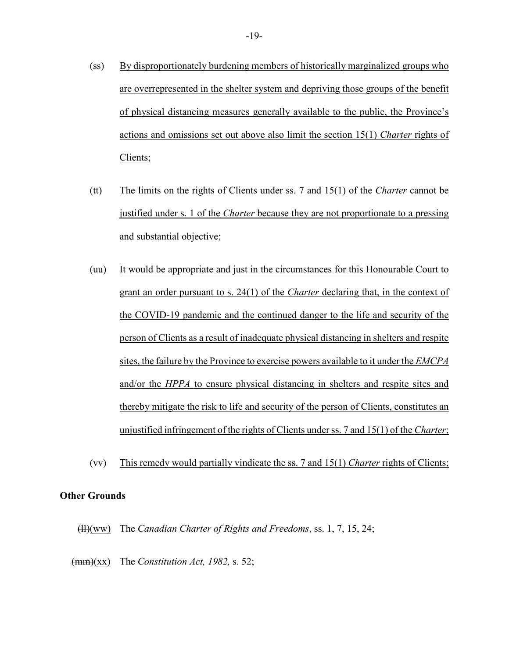- (ss) By disproportionately burdening members of historically marginalized groups who are overrepresented in the shelter system and depriving those groups of the benefit of physical distancing measures generally available to the public, the Province's actions and omissions set out above also limit the section 15(1) *Charter* rights of Clients;
- (tt) The limits on the rights of Clients under ss. 7 and 15(1) of the *Charter* cannot be justified under s. 1 of the *Charter* because they are not proportionate to a pressing and substantial objective;
- (uu) It would be appropriate and just in the circumstances for this Honourable Court to grant an order pursuant to s. 24(1) of the *Charter* declaring that, in the context of the COVID-19 pandemic and the continued danger to the life and security of the person of Clients as a result of inadequate physical distancing in shelters and respite sites, the failure by the Province to exercise powers available to it under the *EMCPA* and/or the *HPPA* to ensure physical distancing in shelters and respite sites and thereby mitigate the risk to life and security of the person of Clients, constitutes an unjustified infringement of the rights of Clients under ss. 7 and 15(1) of the *Charter*;
- (vv) This remedy would partially vindicate the ss. 7 and 15(1) *Charter* rights of Clients;

### **Other Grounds**

(ll)(ww) The *Canadian Charter of Rights and Freedoms*, ss. 1, 7, 15, 24;

(mm)(xx) The *Constitution Act, 1982,* s. 52;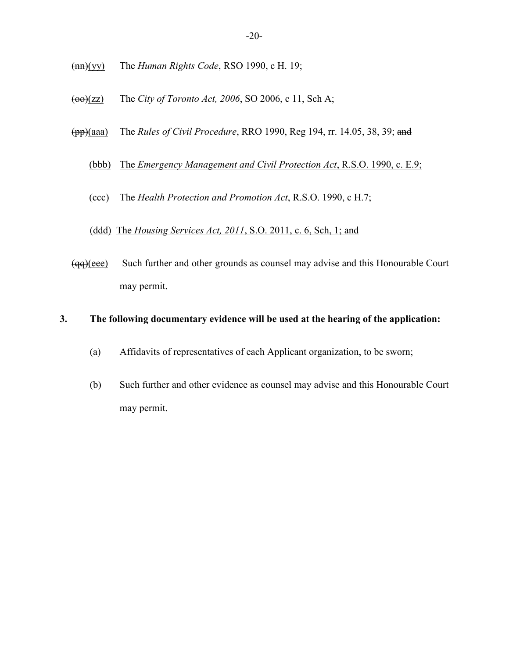- (nn)(yy) The *Human Rights Code*, RSO 1990, c H. 19;
- (oo)(zz) The *City of Toronto Act, 2006*, SO 2006, c 11, Sch A;
- (pp)(aaa) The *Rules of Civil Procedure*, RRO 1990, Reg 194, rr. 14.05, 38, 39; and
	- (bbb) The *Emergency Management and Civil Protection Act*, R.S.O. 1990, c. E.9;
	- (ccc) The *Health Protection and Promotion Act*, R.S.O. 1990, c H.7;
	- (ddd)The *Housing Services Act, 2011*, S.O. 2011, c. 6, Sch, 1; and
- (qq)(eee) Such further and other grounds as counsel may advise and this Honourable Court may permit.

### **3. The following documentary evidence will be used at the hearing of the application:**

- (a) Affidavits of representatives of each Applicant organization, to be sworn;
- (b) Such further and other evidence as counsel may advise and this Honourable Court may permit.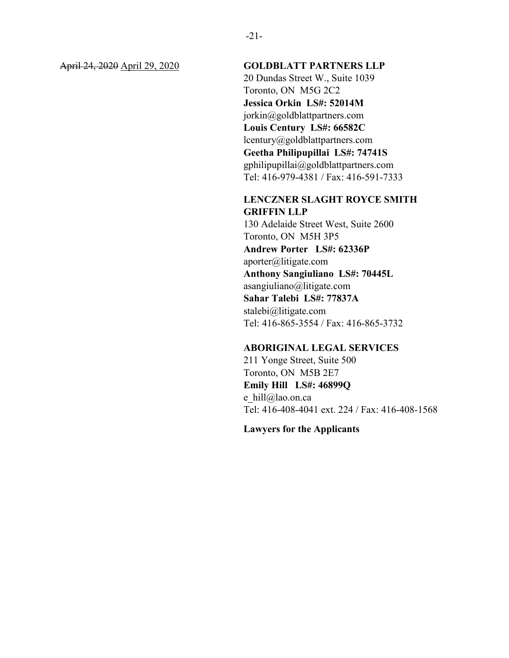### April 24, 2020 April 29, 2020 **GOLDBLATT PARTNERS LLP**

20 Dundas Street W., Suite 1039 Toronto, ON M5G 2C2 **Jessica Orkin LS#: 52014M** jorkin@goldblattpartners.com **Louis Century LS#: 66582C**  lcentury@goldblattpartners.com **Geetha Philipupillai LS#: 74741S** gphilipupillai@goldblattpartners.com Tel: 416-979-4381 / Fax: 416-591-7333

### **LENCZNER SLAGHT ROYCE SMITH GRIFFIN LLP**

130 Adelaide Street West, Suite 2600 Toronto, ON M5H 3P5 **Andrew Porter LS#: 62336P** aporter@litigate.com **Anthony Sangiuliano LS#: 70445L** asangiuliano@litigate.com **Sahar Talebi LS#: 77837A** stalebi@litigate.com Tel: 416-865-3554 / Fax: 416-865-3732

### **ABORIGINAL LEGAL SERVICES**

211 Yonge Street, Suite 500 Toronto, ON M5B 2E7 **Emily Hill LS#: 46899Q**  e hill@lao.on.ca Tel: 416-408-4041 ext. 224 / Fax: 416-408-1568

**Lawyers for the Applicants**